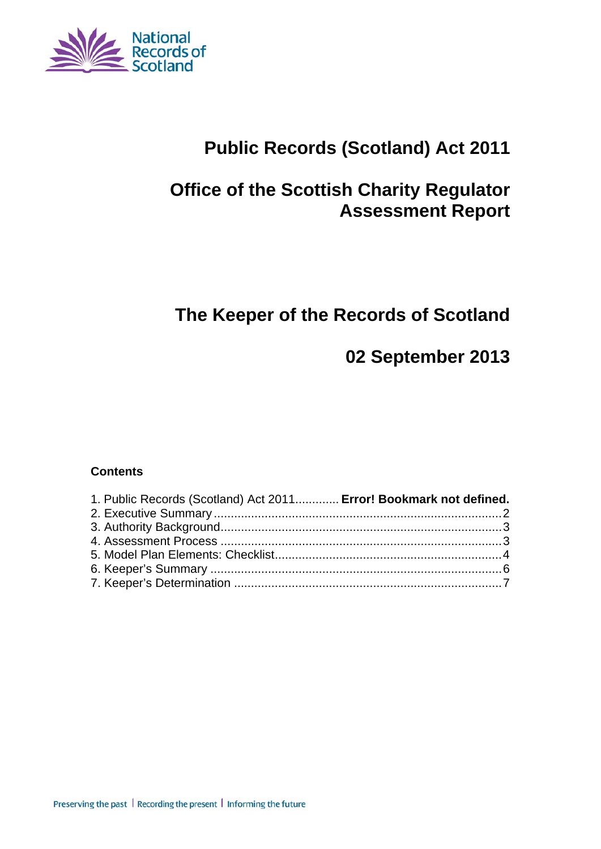

# **Public Records (Scotland) Act 2011**

# **Office of the Scottish Charity Regulator Assessment Report**

# **The Keeper of the Records of Scotland**

# **02 September 2013**

#### **Contents**

| 1. Public Records (Scotland) Act 2011 Error! Bookmark not defined. |  |
|--------------------------------------------------------------------|--|
|                                                                    |  |
|                                                                    |  |
|                                                                    |  |
|                                                                    |  |
|                                                                    |  |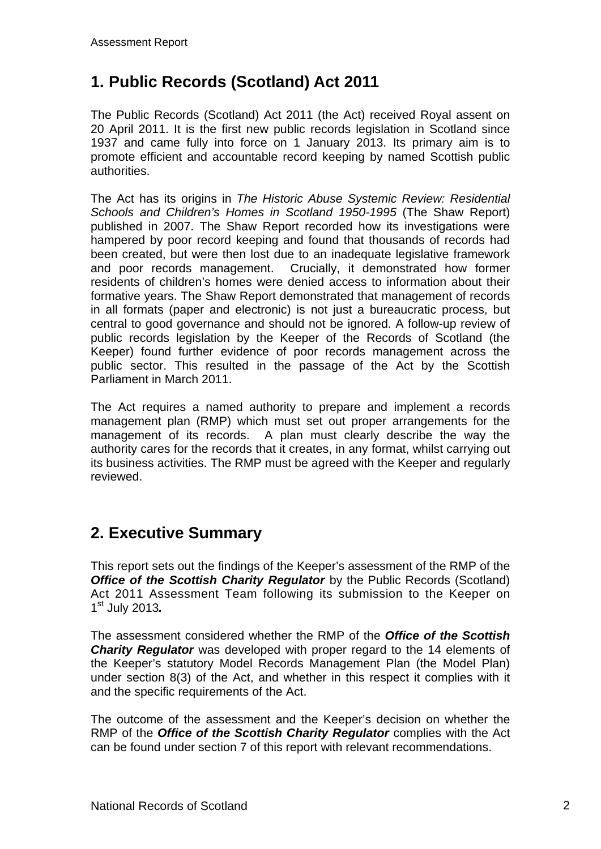## **1. Public Records (Scotland) Act 2011**

The Public Records (Scotland) Act 2011 (the Act) received Royal assent on 20 April 2011. It is the first new public records legislation in Scotland since 1937 and came fully into force on 1 January 2013. Its primary aim is to promote efficient and accountable record keeping by named Scottish public authorities.

The Act has its origins in *The Historic Abuse Systemic Review: Residential Schools and Children's Homes in Scotland 1950-1995* (The Shaw Report) published in 2007. The Shaw Report recorded how its investigations were hampered by poor record keeping and found that thousands of records had been created, but were then lost due to an inadequate legislative framework and poor records management. Crucially, it demonstrated how former residents of children's homes were denied access to information about their formative years. The Shaw Report demonstrated that management of records in all formats (paper and electronic) is not just a bureaucratic process, but central to good governance and should not be ignored. A follow-up review of public records legislation by the Keeper of the Records of Scotland (the Keeper) found further evidence of poor records management across the public sector. This resulted in the passage of the Act by the Scottish Parliament in March 2011.

The Act requires a named authority to prepare and implement a records management plan (RMP) which must set out proper arrangements for the management of its records. A plan must clearly describe the way the authority cares for the records that it creates, in any format, whilst carrying out its business activities. The RMP must be agreed with the Keeper and regularly reviewed.

## **2. Executive Summary**

This report sets out the findings of the Keeper's assessment of the RMP of the **Office of the Scottish Charity Regulator** by the Public Records (Scotland) Act 2011 Assessment Team following its submission to the Keeper on 1st July 2013*.*

The assessment considered whether the RMP of the *Office of the Scottish Charity Regulator* was developed with proper regard to the 14 elements of the Keeper's statutory Model Records Management Plan (the Model Plan) under section 8(3) of the Act, and whether in this respect it complies with it and the specific requirements of the Act.

The outcome of the assessment and the Keeper's decision on whether the RMP of the *Office of the Scottish Charity Regulator* complies with the Act can be found under section 7 of this report with relevant recommendations.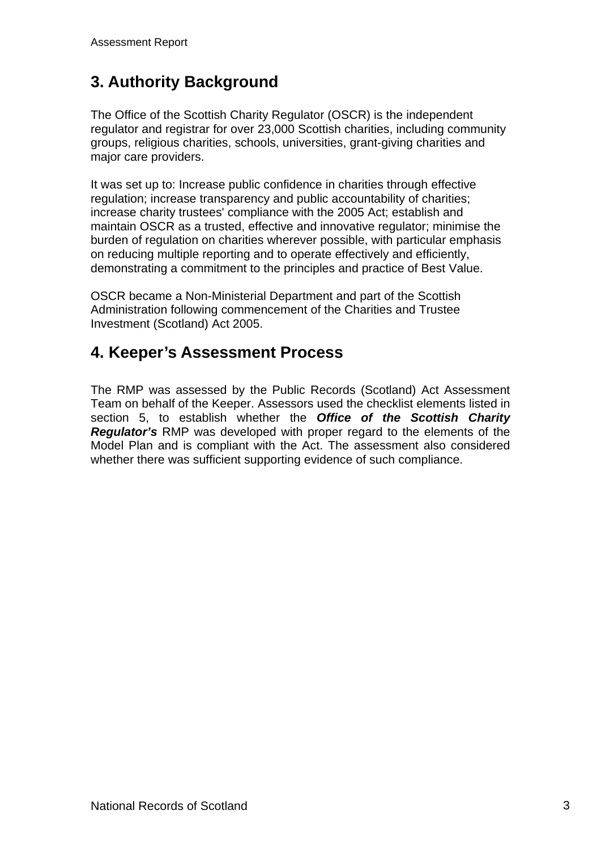# **3. Authority Background**

The Office of the Scottish Charity Regulator (OSCR) is the independent regulator and registrar for over 23,000 Scottish charities, including community groups, religious charities, schools, universities, grant-giving charities and major care providers.

It was set up to: Increase public confidence in charities through effective regulation; increase transparency and public accountability of charities; increase charity trustees' compliance with the 2005 Act; establish and maintain OSCR as a trusted, effective and innovative regulator; minimise the burden of regulation on charities wherever possible, with particular emphasis on reducing multiple reporting and to operate effectively and efficiently, demonstrating a commitment to the principles and practice of Best Value.

OSCR became a Non-Ministerial Department and part of the Scottish Administration following commencement of the Charities and Trustee Investment (Scotland) Act 2005.

#### **4. Keeper's Assessment Process**

The RMP was assessed by the Public Records (Scotland) Act Assessment Team on behalf of the Keeper. Assessors used the checklist elements listed in section 5, to establish whether the *Office of the Scottish Charity Regulator's* RMP was developed with proper regard to the elements of the Model Plan and is compliant with the Act. The assessment also considered whether there was sufficient supporting evidence of such compliance.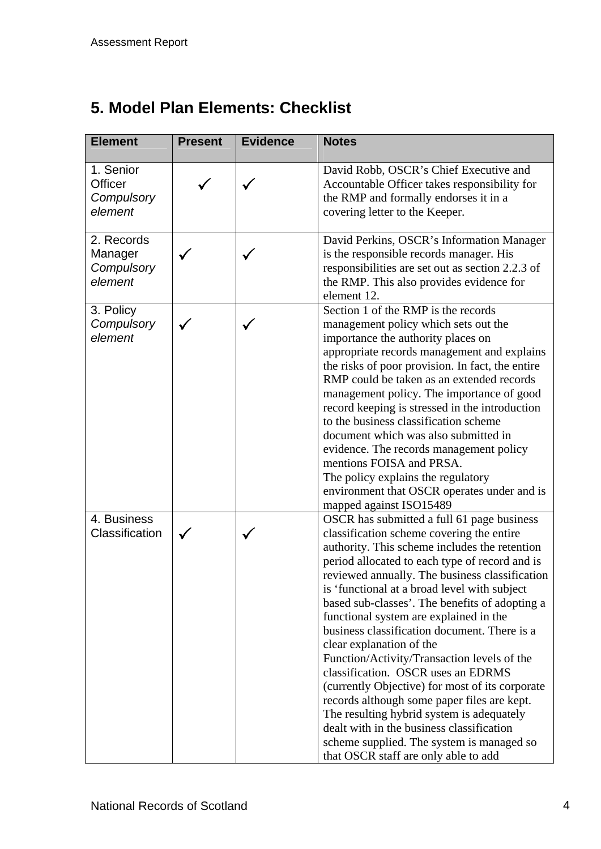# **5. Model Plan Elements: Checklist**

| <b>Element</b>                                       | <b>Present</b> | <b>Evidence</b> | <b>Notes</b>                                                                                                                                                                                                                                                                                                                                                                                                                                                                                                                                                                                                                                                                                                                                                                                                                               |
|------------------------------------------------------|----------------|-----------------|--------------------------------------------------------------------------------------------------------------------------------------------------------------------------------------------------------------------------------------------------------------------------------------------------------------------------------------------------------------------------------------------------------------------------------------------------------------------------------------------------------------------------------------------------------------------------------------------------------------------------------------------------------------------------------------------------------------------------------------------------------------------------------------------------------------------------------------------|
| 1. Senior<br><b>Officer</b><br>Compulsory<br>element |                |                 | David Robb, OSCR's Chief Executive and<br>Accountable Officer takes responsibility for<br>the RMP and formally endorses it in a<br>covering letter to the Keeper.                                                                                                                                                                                                                                                                                                                                                                                                                                                                                                                                                                                                                                                                          |
| 2. Records<br>Manager<br>Compulsory<br>element       |                |                 | David Perkins, OSCR's Information Manager<br>is the responsible records manager. His<br>responsibilities are set out as section 2.2.3 of<br>the RMP. This also provides evidence for<br>element 12.                                                                                                                                                                                                                                                                                                                                                                                                                                                                                                                                                                                                                                        |
| 3. Policy<br>Compulsory<br>element                   |                |                 | Section 1 of the RMP is the records<br>management policy which sets out the<br>importance the authority places on<br>appropriate records management and explains<br>the risks of poor provision. In fact, the entire<br>RMP could be taken as an extended records<br>management policy. The importance of good<br>record keeping is stressed in the introduction<br>to the business classification scheme<br>document which was also submitted in<br>evidence. The records management policy<br>mentions FOISA and PRSA.<br>The policy explains the regulatory<br>environment that OSCR operates under and is<br>mapped against ISO15489                                                                                                                                                                                                   |
| 4. Business<br>Classification                        |                |                 | OSCR has submitted a full 61 page business<br>classification scheme covering the entire<br>authority. This scheme includes the retention<br>period allocated to each type of record and is<br>reviewed annually. The business classification<br>is 'functional at a broad level with subject<br>based sub-classes'. The benefits of adopting a<br>functional system are explained in the<br>business classification document. There is a<br>clear explanation of the<br>Function/Activity/Transaction levels of the<br>classification. OSCR uses an EDRMS<br>(currently Objective) for most of its corporate<br>records although some paper files are kept.<br>The resulting hybrid system is adequately<br>dealt with in the business classification<br>scheme supplied. The system is managed so<br>that OSCR staff are only able to add |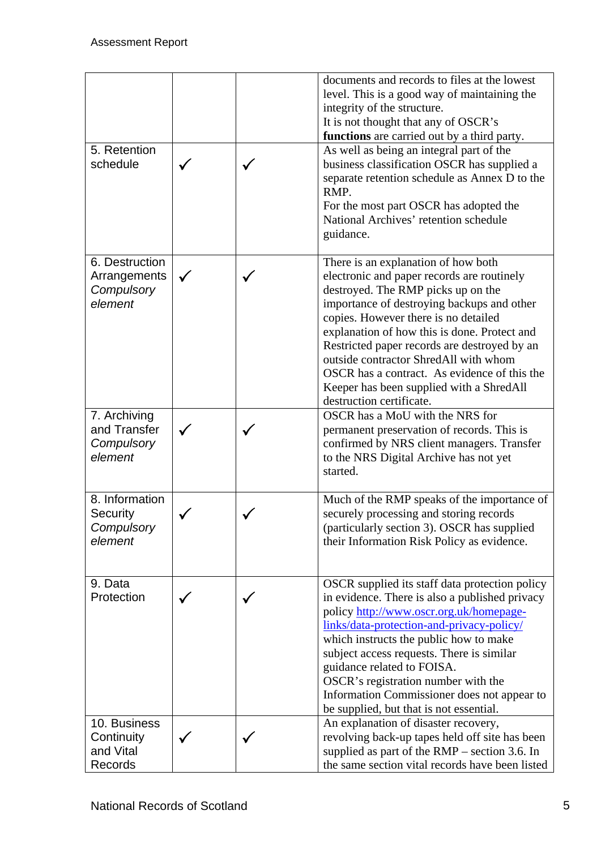|                                                         |  | documents and records to files at the lowest<br>level. This is a good way of maintaining the<br>integrity of the structure.<br>It is not thought that any of OSCR's<br>functions are carried out by a third party.                                                                                                                                                                                                                                                             |
|---------------------------------------------------------|--|--------------------------------------------------------------------------------------------------------------------------------------------------------------------------------------------------------------------------------------------------------------------------------------------------------------------------------------------------------------------------------------------------------------------------------------------------------------------------------|
| 5. Retention<br>schedule                                |  | As well as being an integral part of the<br>business classification OSCR has supplied a<br>separate retention schedule as Annex D to the<br>RMP.<br>For the most part OSCR has adopted the<br>National Archives' retention schedule<br>guidance.                                                                                                                                                                                                                               |
| 6. Destruction<br>Arrangements<br>Compulsory<br>element |  | There is an explanation of how both<br>electronic and paper records are routinely<br>destroyed. The RMP picks up on the<br>importance of destroying backups and other<br>copies. However there is no detailed<br>explanation of how this is done. Protect and<br>Restricted paper records are destroyed by an<br>outside contractor ShredAll with whom<br>OSCR has a contract. As evidence of this the<br>Keeper has been supplied with a ShredAll<br>destruction certificate. |
| 7. Archiving<br>and Transfer<br>Compulsory<br>element   |  | OSCR has a MoU with the NRS for<br>permanent preservation of records. This is<br>confirmed by NRS client managers. Transfer<br>to the NRS Digital Archive has not yet<br>started.                                                                                                                                                                                                                                                                                              |
| 8. Information<br>Security<br>Compulsory<br>element     |  | Much of the RMP speaks of the importance of<br>securely processing and storing records<br>(particularly section 3). OSCR has supplied<br>their Information Risk Policy as evidence.                                                                                                                                                                                                                                                                                            |
| 9. Data<br>Protection                                   |  | OSCR supplied its staff data protection policy<br>in evidence. There is also a published privacy<br>policy http://www.oscr.org.uk/homepage-<br>links/data-protection-and-privacy-policy/<br>which instructs the public how to make<br>subject access requests. There is similar<br>guidance related to FOISA.<br>OSCR's registration number with the<br>Information Commissioner does not appear to<br>be supplied, but that is not essential.                                 |
| 10. Business<br>Continuity<br>and Vital<br>Records      |  | An explanation of disaster recovery,<br>revolving back-up tapes held off site has been<br>supplied as part of the RMP – section 3.6. In<br>the same section vital records have been listed                                                                                                                                                                                                                                                                                     |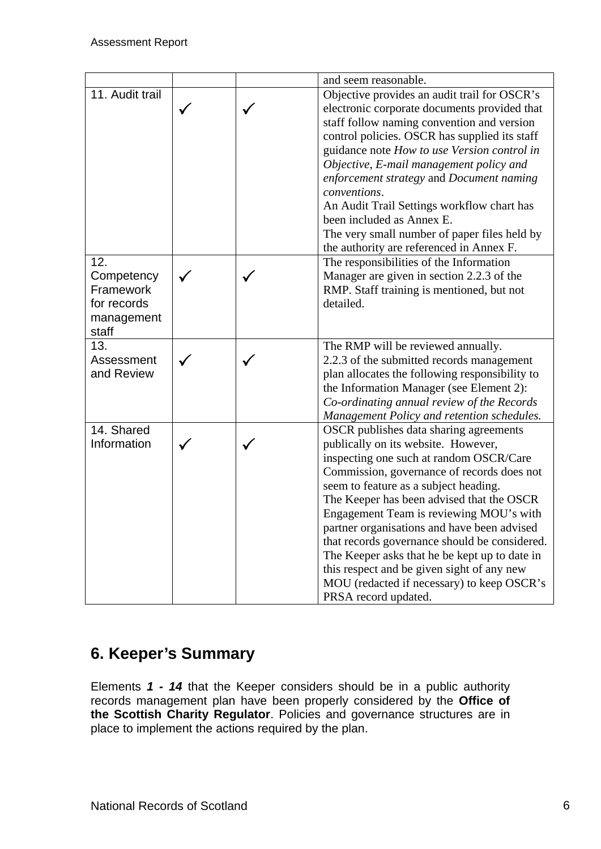|                                                                      |  | and seem reasonable.                                                                                                                                                                                                                                                                                                                                                                                                                                                                                                                                                         |
|----------------------------------------------------------------------|--|------------------------------------------------------------------------------------------------------------------------------------------------------------------------------------------------------------------------------------------------------------------------------------------------------------------------------------------------------------------------------------------------------------------------------------------------------------------------------------------------------------------------------------------------------------------------------|
| 11. Audit trail                                                      |  | Objective provides an audit trail for OSCR's<br>electronic corporate documents provided that<br>staff follow naming convention and version<br>control policies. OSCR has supplied its staff<br>guidance note How to use Version control in<br>Objective, E-mail management policy and<br>enforcement strategy and Document naming<br>conventions.<br>An Audit Trail Settings workflow chart has<br>been included as Annex E.<br>The very small number of paper files held by<br>the authority are referenced in Annex F.                                                     |
| 12.<br>Competency<br>Framework<br>for records<br>management<br>staff |  | The responsibilities of the Information<br>Manager are given in section 2.2.3 of the<br>RMP. Staff training is mentioned, but not<br>detailed.                                                                                                                                                                                                                                                                                                                                                                                                                               |
| 13.<br>Assessment<br>and Review                                      |  | The RMP will be reviewed annually.<br>2.2.3 of the submitted records management<br>plan allocates the following responsibility to<br>the Information Manager (see Element 2):<br>Co-ordinating annual review of the Records<br>Management Policy and retention schedules.                                                                                                                                                                                                                                                                                                    |
| 14. Shared<br>Information                                            |  | OSCR publishes data sharing agreements<br>publically on its website. However,<br>inspecting one such at random OSCR/Care<br>Commission, governance of records does not<br>seem to feature as a subject heading.<br>The Keeper has been advised that the OSCR<br>Engagement Team is reviewing MOU's with<br>partner organisations and have been advised<br>that records governance should be considered.<br>The Keeper asks that he be kept up to date in<br>this respect and be given sight of any new<br>MOU (redacted if necessary) to keep OSCR's<br>PRSA record updated. |

## **6. Keeper's Summary**

Elements *1 - 14* that the Keeper considers should be in a public authority records management plan have been properly considered by the **Office of the Scottish Charity Regulator**. Policies and governance structures are in place to implement the actions required by the plan.